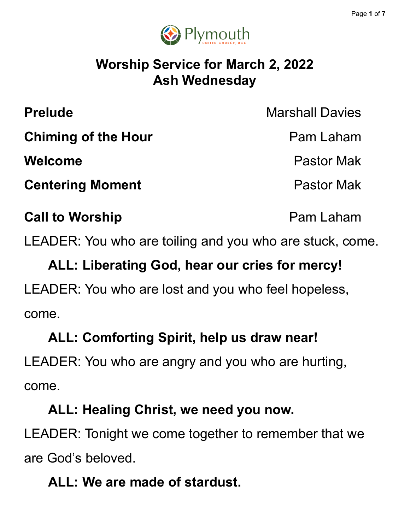

### **Worship Service for March 2, 2022 Ash Wednesday**

| <b>Prelude</b>             | <b>Marshall Davies</b> |
|----------------------------|------------------------|
| <b>Chiming of the Hour</b> | Pam Laham              |
| <b>Welcome</b>             | <b>Pastor Mak</b>      |
| <b>Centering Moment</b>    | <b>Pastor Mak</b>      |
| <b>Call to Worship</b>     | Pam Laham              |

LEADER: You who are toiling and you who are stuck, come.

# **ALL: Liberating God, hear our cries for mercy!** LEADER: You who are lost and you who feel hopeless, come.

# **ALL: Comforting Spirit, help us draw near!** LEADER: You who are angry and you who are hurting, come.

### **ALL: Healing Christ, we need you now.**

LEADER: Tonight we come together to remember that we are God's beloved.

## **ALL: We are made of stardust.**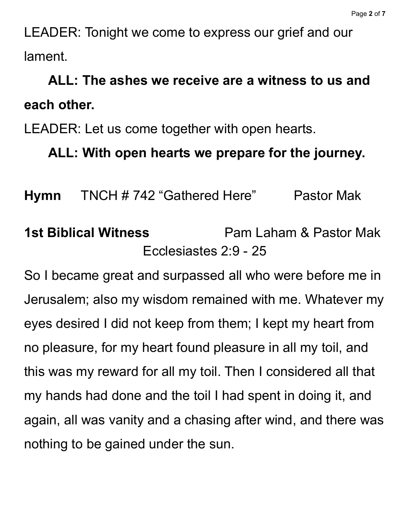LEADER: Tonight we come to express our grief and our lament.

## **ALL: The ashes we receive are a witness to us and each other.**

LEADER: Let us come together with open hearts.

### **ALL: With open hearts we prepare for the journey.**

**Hymn** TNCH # 742 "Gathered Here" Pastor Mak

## **1st Biblical Witness** Pam Laham & Pastor Mak Ecclesiastes 2:9 - 25

So I became great and surpassed all who were before me in Jerusalem; also my wisdom remained with me. Whatever my eyes desired I did not keep from them; I kept my heart from no pleasure, for my heart found pleasure in all my toil, and this was my reward for all my toil. Then I considered all that my hands had done and the toil I had spent in doing it, and again, all was vanity and a chasing after wind, and there was nothing to be gained under the sun.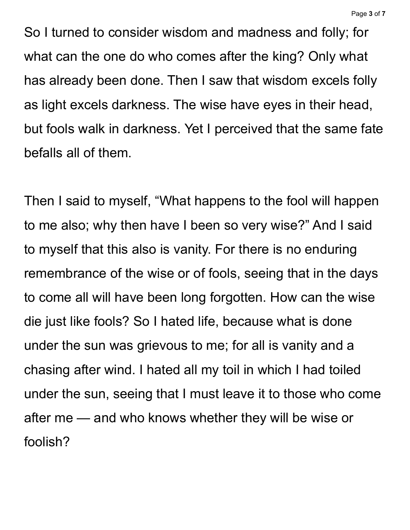So I turned to consider wisdom and madness and folly; for what can the one do who comes after the king? Only what has already been done. Then I saw that wisdom excels folly as light excels darkness. The wise have eyes in their head, but fools walk in darkness. Yet I perceived that the same fate befalls all of them.

Then I said to myself, "What happens to the fool will happen to me also; why then have I been so very wise?" And I said to myself that this also is vanity. For there is no enduring remembrance of the wise or of fools, seeing that in the days to come all will have been long forgotten. How can the wise die just like fools? So I hated life, because what is done under the sun was grievous to me; for all is vanity and a chasing after wind. I hated all my toil in which I had toiled under the sun, seeing that I must leave it to those who come after me — and who knows whether they will be wise or foolish?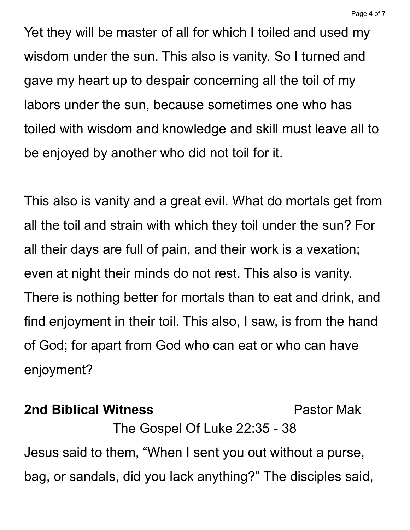Yet they will be master of all for which I toiled and used my wisdom under the sun. This also is vanity. So I turned and gave my heart up to despair concerning all the toil of my labors under the sun, because sometimes one who has toiled with wisdom and knowledge and skill must leave all to be enjoyed by another who did not toil for it.

This also is vanity and a great evil. What do mortals get from all the toil and strain with which they toil under the sun? For all their days are full of pain, and their work is a vexation; even at night their minds do not rest. This also is vanity. There is nothing better for mortals than to eat and drink, and find enjoyment in their toil. This also, I saw, is from the hand of God; for apart from God who can eat or who can have enjoyment?

#### **2nd Biblical Witness** Pastor Mak

The Gospel Of Luke 22:35 - 38 Jesus said to them, "When I sent you out without a purse, bag, or sandals, did you lack anything?" The disciples said,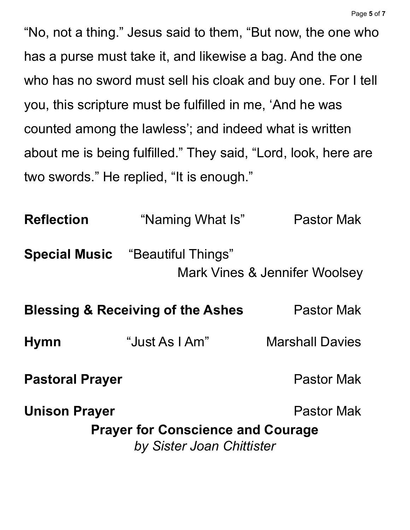"No, not a thing." Jesus said to them, "But now, the one who has a purse must take it, and likewise a bag. And the one who has no sword must sell his cloak and buy one. For I tell you, this scripture must be fulfilled in me, 'And he was counted among the lawless'; and indeed what is written about me is being fulfilled." They said, "Lord, look, here are two swords." He replied, "It is enough."

| <b>Reflection</b>                            | "Naming What Is"                                                      | <b>Pastor Mak</b>             |
|----------------------------------------------|-----------------------------------------------------------------------|-------------------------------|
|                                              | <b>Special Music</b> "Beautiful Things"                               | Mark Vines & Jennifer Woolsey |
| <b>Blessing &amp; Receiving of the Ashes</b> |                                                                       | <b>Pastor Mak</b>             |
| <b>Hymn</b>                                  | "Just As I Am"                                                        | <b>Marshall Davies</b>        |
| <b>Pastoral Prayer</b>                       |                                                                       | <b>Pastor Mak</b>             |
| <b>Unison Prayer</b>                         |                                                                       | <b>Pastor Mak</b>             |
|                                              | <b>Prayer for Conscience and Courage</b><br>by Sister Joan Chittister |                               |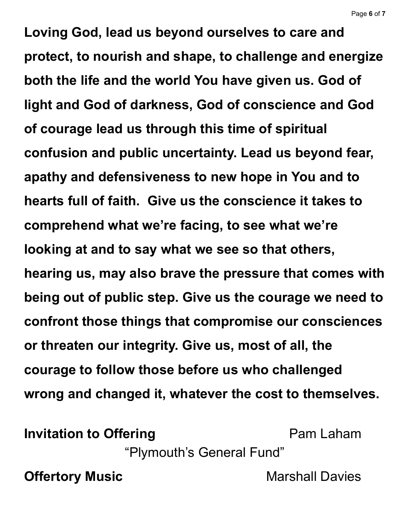**Loving God, lead us beyond ourselves to care and protect, to nourish and shape, to challenge and energize both the life and the world You have given us. God of light and God of darkness, God of conscience and God of courage lead us through this time of spiritual confusion and public uncertainty. Lead us beyond fear, apathy and defensiveness to new hope in You and to hearts full of faith. Give us the conscience it takes to comprehend what we're facing, to see what we're looking at and to say what we see so that others, hearing us, may also brave the pressure that comes with being out of public step. Give us the courage we need to confront those things that compromise our consciences or threaten our integrity. Give us, most of all, the courage to follow those before us who challenged wrong and changed it, whatever the cost to themselves.**

**Invitation to Offering Pam Laham** 

"Plymouth's General Fund"

**Offertory Music Marshall Davies**